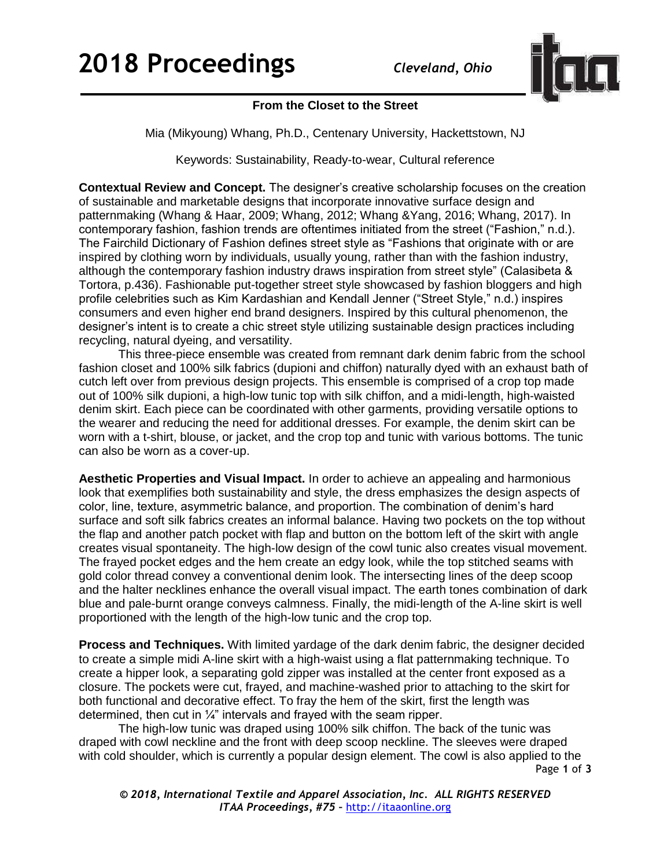

## **From the Closet to the Street**

Mia (Mikyoung) Whang, Ph.D., Centenary University, Hackettstown, NJ

Keywords: Sustainability, Ready-to-wear, Cultural reference

**Contextual Review and Concept.** The designer's creative scholarship focuses on the creation of sustainable and marketable designs that incorporate innovative surface design and patternmaking (Whang & Haar, 2009; Whang, 2012; Whang &Yang, 2016; Whang, 2017). In contemporary fashion, fashion trends are oftentimes initiated from the street ("Fashion," n.d.). The Fairchild Dictionary of Fashion defines street style as "Fashions that originate with or are inspired by clothing worn by individuals, usually young, rather than with the fashion industry, although the contemporary fashion industry draws inspiration from street style" (Calasibeta & Tortora, p.436). Fashionable put-together street style showcased by fashion bloggers and high profile celebrities such as Kim Kardashian and Kendall Jenner ("Street Style," n.d.) inspires consumers and even higher end brand designers. Inspired by this cultural phenomenon, the designer's intent is to create a chic street style utilizing sustainable design practices including recycling, natural dyeing, and versatility.

This three-piece ensemble was created from remnant dark denim fabric from the school fashion closet and 100% silk fabrics (dupioni and chiffon) naturally dyed with an exhaust bath of cutch left over from previous design projects. This ensemble is comprised of a crop top made out of 100% silk dupioni, a high-low tunic top with silk chiffon, and a midi-length, high-waisted denim skirt. Each piece can be coordinated with other garments, providing versatile options to the wearer and reducing the need for additional dresses. For example, the denim skirt can be worn with a t-shirt, blouse, or jacket, and the crop top and tunic with various bottoms. The tunic can also be worn as a cover-up.

**Aesthetic Properties and Visual Impact.** In order to achieve an appealing and harmonious look that exemplifies both sustainability and style, the dress emphasizes the design aspects of color, line, texture, asymmetric balance, and proportion. The combination of denim's hard surface and soft silk fabrics creates an informal balance. Having two pockets on the top without the flap and another patch pocket with flap and button on the bottom left of the skirt with angle creates visual spontaneity. The high-low design of the cowl tunic also creates visual movement. The frayed pocket edges and the hem create an edgy look, while the top stitched seams with gold color thread convey a conventional denim look. The intersecting lines of the deep scoop and the halter necklines enhance the overall visual impact. The earth tones combination of dark blue and pale-burnt orange conveys calmness. Finally, the midi-length of the A-line skirt is well proportioned with the length of the high-low tunic and the crop top.

**Process and Techniques.** With limited yardage of the dark denim fabric, the designer decided to create a simple midi A-line skirt with a high-waist using a flat patternmaking technique. To create a hipper look, a separating gold zipper was installed at the center front exposed as a closure. The pockets were cut, frayed, and machine-washed prior to attaching to the skirt for both functional and decorative effect. To fray the hem of the skirt, first the length was determined, then cut in  $\frac{1}{4}$ " intervals and frayed with the seam ripper.

Page **1** of **3** The high-low tunic was draped using 100% silk chiffon. The back of the tunic was draped with cowl neckline and the front with deep scoop neckline. The sleeves were draped with cold shoulder, which is currently a popular design element. The cowl is also applied to the

*© 2018, International Textile and Apparel Association, Inc. ALL RIGHTS RESERVED ITAA Proceedings, #75 –* [http://itaaonline.org](http://itaaonline.org/)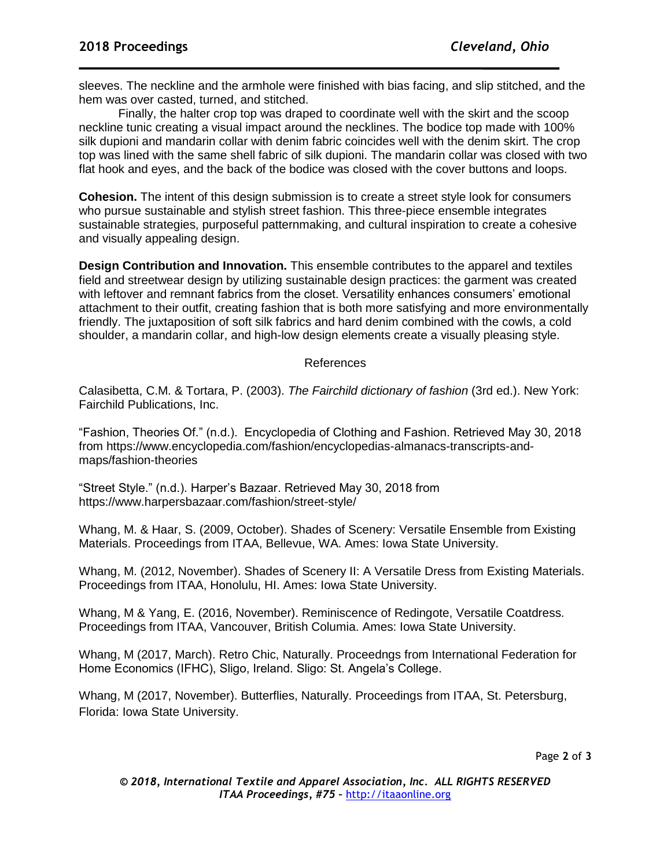sleeves. The neckline and the armhole were finished with bias facing, and slip stitched, and the hem was over casted, turned, and stitched.

Finally, the halter crop top was draped to coordinate well with the skirt and the scoop neckline tunic creating a visual impact around the necklines. The bodice top made with 100% silk dupioni and mandarin collar with denim fabric coincides well with the denim skirt. The crop top was lined with the same shell fabric of silk dupioni. The mandarin collar was closed with two flat hook and eyes, and the back of the bodice was closed with the cover buttons and loops.

**Cohesion.** The intent of this design submission is to create a street style look for consumers who pursue sustainable and stylish street fashion. This three-piece ensemble integrates sustainable strategies, purposeful patternmaking, and cultural inspiration to create a cohesive and visually appealing design.

**Design Contribution and Innovation.** This ensemble contributes to the apparel and textiles field and streetwear design by utilizing sustainable design practices; the garment was created with leftover and remnant fabrics from the closet. Versatility enhances consumers' emotional attachment to their outfit, creating fashion that is both more satisfying and more environmentally friendly. The juxtaposition of soft silk fabrics and hard denim combined with the cowls, a cold shoulder, a mandarin collar, and high-low design elements create a visually pleasing style.

## References

Calasibetta, C.M. & Tortara, P. (2003). *The Fairchild dictionary of fashion* (3rd ed.). New York: Fairchild Publications, Inc.

"Fashion, Theories Of." (n.d.). Encyclopedia of Clothing and Fashion. Retrieved May 30, 2018 from https://www.encyclopedia.com/fashion/encyclopedias-almanacs-transcripts-andmaps/fashion-theories

"Street Style." (n.d.). Harper's Bazaar. Retrieved May 30, 2018 from https://www.harpersbazaar.com/fashion/street-style/

Whang, M. & Haar, S. (2009, October). Shades of Scenery: Versatile Ensemble from Existing Materials. Proceedings from ITAA, Bellevue, WA. Ames: Iowa State University.

Whang, M. (2012, November). Shades of Scenery II: A Versatile Dress from Existing Materials. Proceedings from ITAA, Honolulu, HI. Ames: Iowa State University.

Whang, M & Yang, E. (2016, November). Reminiscence of Redingote, Versatile Coatdress. Proceedings from ITAA, Vancouver, British Columia. Ames: Iowa State University.

Whang, M (2017, March). Retro Chic, Naturally. Proceedngs from International Federation for Home Economics (IFHC), Sligo, Ireland. Sligo: St. Angela's College.

Whang, M (2017, November). Butterflies, Naturally. Proceedings from ITAA, St. Petersburg, Florida: Iowa State University.

Page **2** of **3**

*© 2018, International Textile and Apparel Association, Inc. ALL RIGHTS RESERVED ITAA Proceedings, #75 –* [http://itaaonline.org](http://itaaonline.org/)